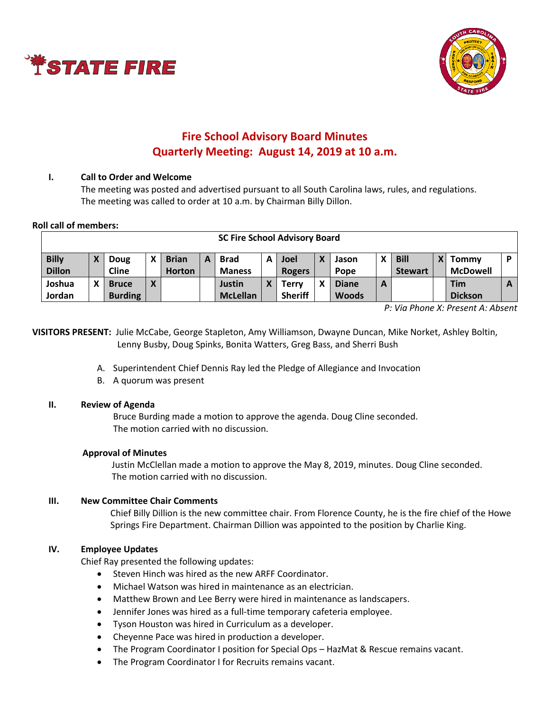



# **Fire School Advisory Board Minutes Quarterly Meeting: August 14, 2019 at 10 a.m.**

### **I. Call to Order and Welcome**

The meeting was posted and advertised pursuant to all South Carolina laws, rules, and regulations. The meeting was called to order at 10 a.m. by Chairman Billy Dillon.

#### **Roll call of members:**

| <b>SC Fire School Advisory Board</b> |   |                |   |               |   |                 |   |                |   |              |   |                |  |                 |   |
|--------------------------------------|---|----------------|---|---------------|---|-----------------|---|----------------|---|--------------|---|----------------|--|-----------------|---|
| <b>Billy</b>                         |   | Doug           |   | <b>Brian</b>  | А | <b>Brad</b>     | А | Joel           | X | Jason        |   | <b>Bill</b>    |  | <b>Tommy</b>    | D |
| <b>Dillon</b>                        |   | <b>Cline</b>   |   | <b>Horton</b> |   | <b>Maness</b>   |   | <b>Rogers</b>  |   | Pope         |   | <b>Stewart</b> |  | <b>McDowell</b> |   |
| Joshua                               | х | <b>Bruce</b>   | v |               |   | <b>Justin</b>   |   | Terrv          | χ | <b>Diane</b> | A |                |  | Tim             | A |
| Jordan                               |   | <b>Burding</b> |   |               |   | <b>McLellan</b> |   | <b>Sheriff</b> |   | <b>Woods</b> |   |                |  | <b>Dickson</b>  |   |

*P: Via Phone X: Present A: Absent*

**VISITORS PRESENT:** Julie McCabe, George Stapleton, Amy Williamson, Dwayne Duncan, Mike Norket, Ashley Boltin, Lenny Busby, Doug Spinks, Bonita Watters, Greg Bass, and Sherri Bush

- A. Superintendent Chief Dennis Ray led the Pledge of Allegiance and Invocation
- B. A quorum was present

#### **II. Review of Agenda**

Bruce Burding made a motion to approve the agenda. Doug Cline seconded. The motion carried with no discussion.

#### **Approval of Minutes**

Justin McClellan made a motion to approve the May 8, 2019, minutes. Doug Cline seconded. The motion carried with no discussion.

#### **III. New Committee Chair Comments**

Chief Billy Dillion is the new committee chair. From Florence County, he is the fire chief of the Howe Springs Fire Department. Chairman Dillion was appointed to the position by Charlie King.

#### **IV. Employee Updates**

Chief Ray presented the following updates:

- Steven Hinch was hired as the new ARFF Coordinator.
- Michael Watson was hired in maintenance as an electrician.
- Matthew Brown and Lee Berry were hired in maintenance as landscapers.
- Jennifer Jones was hired as a full-time temporary cafeteria employee.
- Tyson Houston was hired in Curriculum as a developer.
- Cheyenne Pace was hired in production a developer.
- The Program Coordinator I position for Special Ops HazMat & Rescue remains vacant.
- The Program Coordinator I for Recruits remains vacant.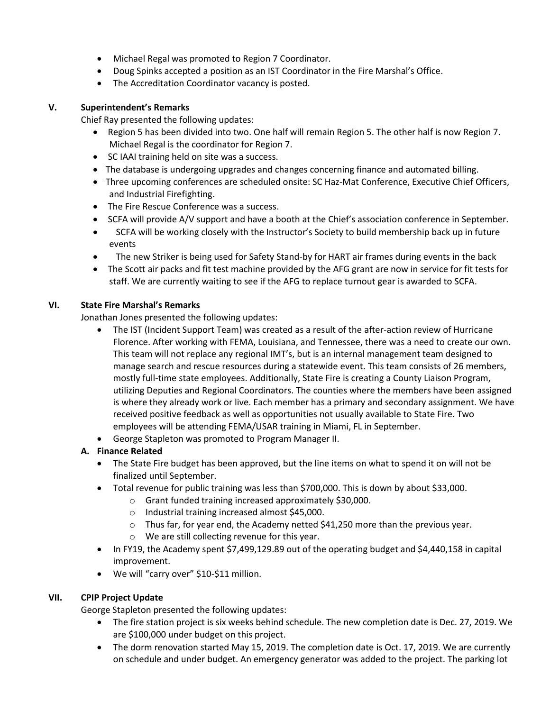- Michael Regal was promoted to Region 7 Coordinator.
- Doug Spinks accepted a position as an IST Coordinator in the Fire Marshal's Office.
- The Accreditation Coordinator vacancy is posted.

## **V. Superintendent's Remarks**

Chief Ray presented the following updates:

- Region 5 has been divided into two. One half will remain Region 5. The other half is now Region 7. Michael Regal is the coordinator for Region 7.
- SC IAAI training held on site was a success.
- The database is undergoing upgrades and changes concerning finance and automated billing.
- Three upcoming conferences are scheduled onsite: SC Haz-Mat Conference, Executive Chief Officers, and Industrial Firefighting.
- The Fire Rescue Conference was a success.
- SCFA will provide A/V support and have a booth at the Chief's association conference in September.
- SCFA will be working closely with the Instructor's Society to build membership back up in future events
- The new Striker is being used for Safety Stand-by for HART air frames during events in the back
- The Scott air packs and fit test machine provided by the AFG grant are now in service for fit tests for staff. We are currently waiting to see if the AFG to replace turnout gear is awarded to SCFA.

## **VI. State Fire Marshal's Remarks**

Jonathan Jones presented the following updates:

- The IST (Incident Support Team) was created as a result of the after-action review of Hurricane Florence. After working with FEMA, Louisiana, and Tennessee, there was a need to create our own. This team will not replace any regional IMT's, but is an internal management team designed to manage search and rescue resources during a statewide event. This team consists of 26 members, mostly full-time state employees. Additionally, State Fire is creating a County Liaison Program, utilizing Deputies and Regional Coordinators. The counties where the members have been assigned is where they already work or live. Each member has a primary and secondary assignment. We have received positive feedback as well as opportunities not usually available to State Fire. Two employees will be attending FEMA/USAR training in Miami, FL in September.
- George Stapleton was promoted to Program Manager II.

# **A. Finance Related**

- The State Fire budget has been approved, but the line items on what to spend it on will not be finalized until September.
- Total revenue for public training was less than \$700,000. This is down by about \$33,000.
	- o Grant funded training increased approximately \$30,000.
		- o Industrial training increased almost \$45,000.
		- $\circ$  Thus far, for year end, the Academy netted \$41,250 more than the previous year.
		- o We are still collecting revenue for this year.
- In FY19, the Academy spent \$7,499,129.89 out of the operating budget and \$4,440,158 in capital improvement.
- We will "carry over" \$10-\$11 million.

## **VII. CPIP Project Update**

George Stapleton presented the following updates:

- The fire station project is six weeks behind schedule. The new completion date is Dec. 27, 2019. We are \$100,000 under budget on this project.
- The dorm renovation started May 15, 2019. The completion date is Oct. 17, 2019. We are currently on schedule and under budget. An emergency generator was added to the project. The parking lot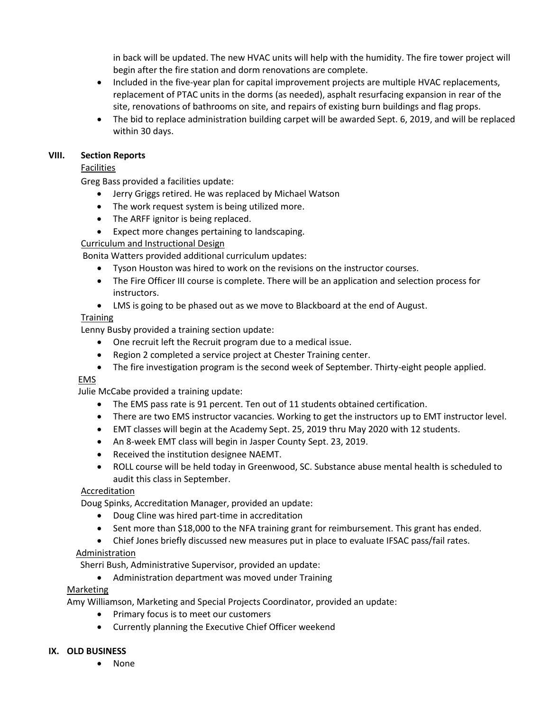in back will be updated. The new HVAC units will help with the humidity. The fire tower project will begin after the fire station and dorm renovations are complete.

- Included in the five-year plan for capital improvement projects are multiple HVAC replacements, replacement of PTAC units in the dorms (as needed), asphalt resurfacing expansion in rear of the site, renovations of bathrooms on site, and repairs of existing burn buildings and flag props.
- The bid to replace administration building carpet will be awarded Sept. 6, 2019, and will be replaced within 30 days.

#### **VIII. Section Reports**

### Facilities

Greg Bass provided a facilities update:

- Jerry Griggs retired. He was replaced by Michael Watson
- The work request system is being utilized more.
- The ARFF ignitor is being replaced.
- Expect more changes pertaining to landscaping.

Curriculum and Instructional Design

Bonita Watters provided additional curriculum updates:

- Tyson Houston was hired to work on the revisions on the instructor courses.
- The Fire Officer III course is complete. There will be an application and selection process for instructors.
- LMS is going to be phased out as we move to Blackboard at the end of August.

## **Training**

Lenny Busby provided a training section update:

- One recruit left the Recruit program due to a medical issue.
- Region 2 completed a service project at Chester Training center.
- The fire investigation program is the second week of September. Thirty-eight people applied.

#### EMS

Julie McCabe provided a training update:

- The EMS pass rate is 91 percent. Ten out of 11 students obtained certification.
- There are two EMS instructor vacancies. Working to get the instructors up to EMT instructor level.
- EMT classes will begin at the Academy Sept. 25, 2019 thru May 2020 with 12 students.
- An 8-week EMT class will begin in Jasper County Sept. 23, 2019.
- Received the institution designee NAEMT.
- ROLL course will be held today in Greenwood, SC. Substance abuse mental health is scheduled to audit this class in September.

#### Accreditation

Doug Spinks, Accreditation Manager, provided an update:

- Doug Cline was hired part-time in accreditation
- Sent more than \$18,000 to the NFA training grant for reimbursement. This grant has ended.
- Chief Jones briefly discussed new measures put in place to evaluate IFSAC pass/fail rates.

#### **Administration**

Sherri Bush, Administrative Supervisor, provided an update:

• Administration department was moved under Training

## Marketing

Amy Williamson, Marketing and Special Projects Coordinator, provided an update:

- Primary focus is to meet our customers
- Currently planning the Executive Chief Officer weekend

#### **IX. OLD BUSINESS**

• None